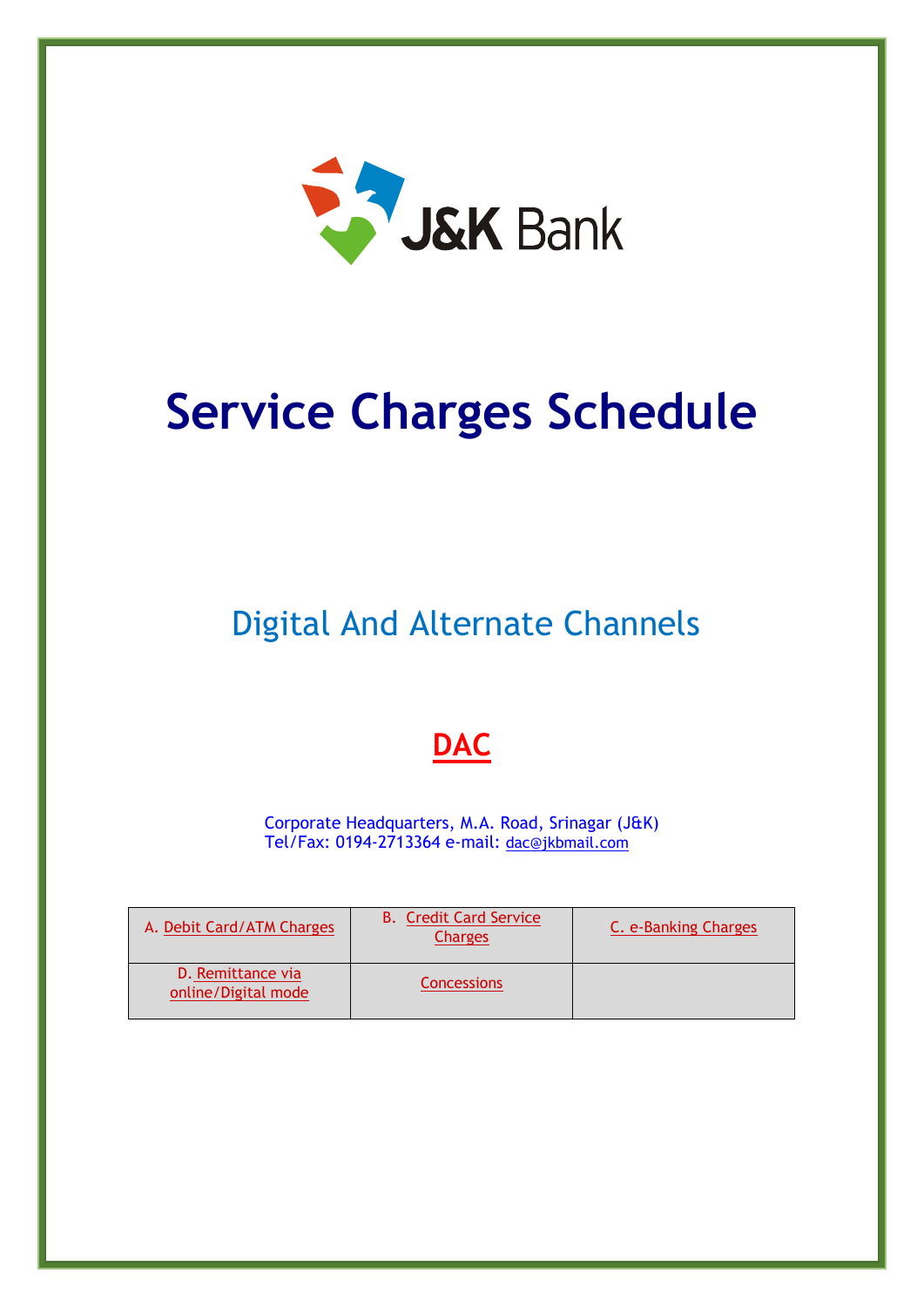

# **Service Charges Schedule**

Digital And Alternate Channels

# **DAC**

Corporate Headquarters, M.A. Road, Srinagar (J&K) Tel/Fax: 0194-2713364 e-mail: [dac@jkbmail.com](mailto:sp.chq@jkbmail.com)

| A. Debit Card/ATM Charges                | <b>B.</b> Credit Card Service<br><b>Charges</b> | C. e-Banking Charges |
|------------------------------------------|-------------------------------------------------|----------------------|
| D. Remittance via<br>online/Digital mode | Concessions                                     |                      |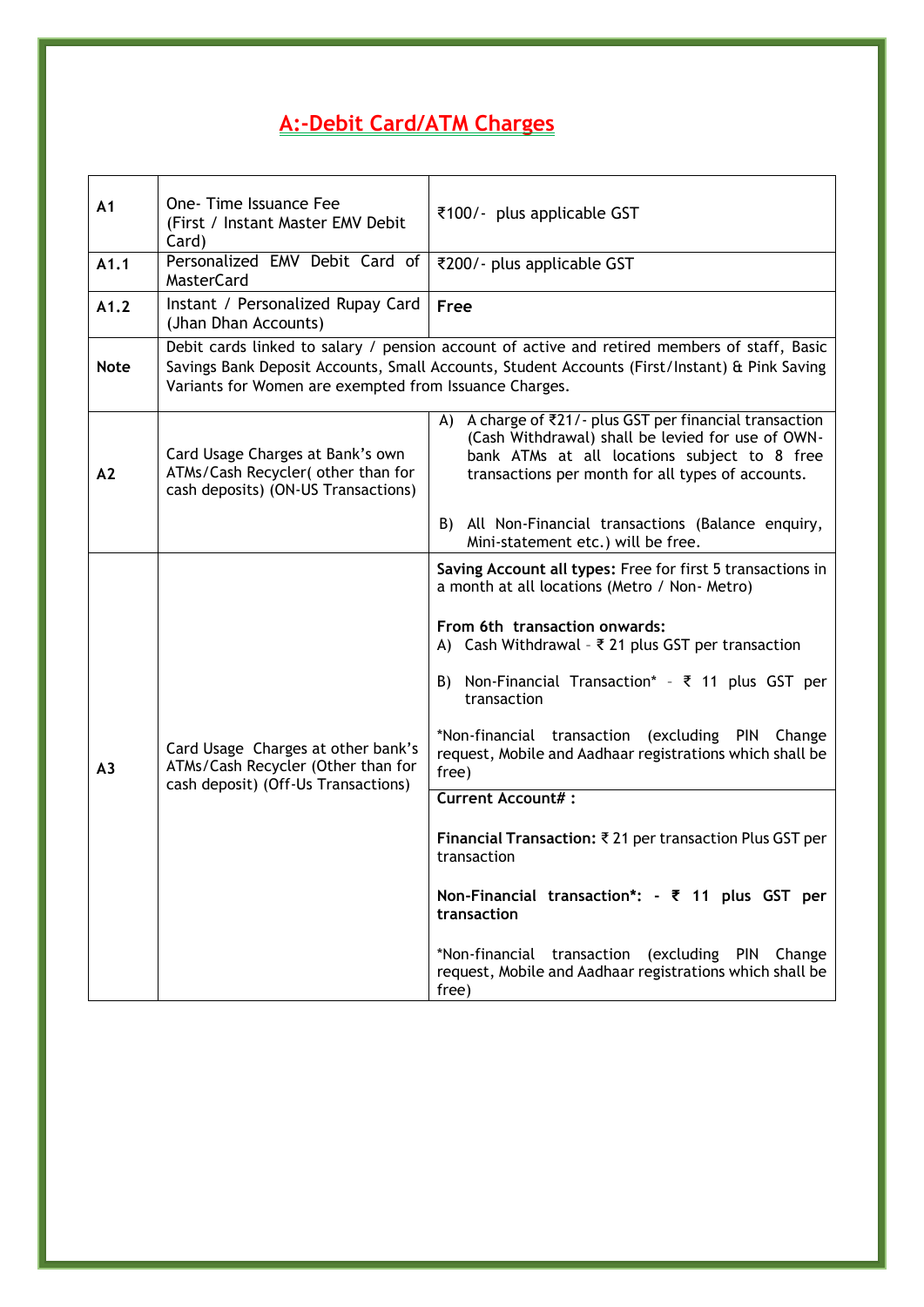## <span id="page-1-0"></span>**A:-Debit Card/ATM Charges**

| A <sub>1</sub> | One-Time Issuance Fee<br>(First / Instant Master EMV Debit<br>Card)                                             | ₹100/- plus applicable GST                                                                                                                                                                                                                                                                                                                                                                                                                                                                                                                                                                                                                                                                                            |  |
|----------------|-----------------------------------------------------------------------------------------------------------------|-----------------------------------------------------------------------------------------------------------------------------------------------------------------------------------------------------------------------------------------------------------------------------------------------------------------------------------------------------------------------------------------------------------------------------------------------------------------------------------------------------------------------------------------------------------------------------------------------------------------------------------------------------------------------------------------------------------------------|--|
| A1.1           | Personalized EMV Debit Card of<br><b>MasterCard</b>                                                             | ₹200/- plus applicable GST                                                                                                                                                                                                                                                                                                                                                                                                                                                                                                                                                                                                                                                                                            |  |
| A1.2           | Instant / Personalized Rupay Card<br>(Jhan Dhan Accounts)                                                       | <b>Free</b>                                                                                                                                                                                                                                                                                                                                                                                                                                                                                                                                                                                                                                                                                                           |  |
| <b>Note</b>    | Variants for Women are exempted from Issuance Charges.                                                          | Debit cards linked to salary / pension account of active and retired members of staff, Basic<br>Savings Bank Deposit Accounts, Small Accounts, Student Accounts (First/Instant) & Pink Saving                                                                                                                                                                                                                                                                                                                                                                                                                                                                                                                         |  |
| A2             | Card Usage Charges at Bank's own<br>ATMs/Cash Recycler( other than for<br>cash deposits) (ON-US Transactions)   | A) A charge of ₹21/- plus GST per financial transaction<br>(Cash Withdrawal) shall be levied for use of OWN-<br>bank ATMs at all locations subject to 8 free<br>transactions per month for all types of accounts.                                                                                                                                                                                                                                                                                                                                                                                                                                                                                                     |  |
|                |                                                                                                                 | B)<br>All Non-Financial transactions (Balance enquiry,<br>Mini-statement etc.) will be free.                                                                                                                                                                                                                                                                                                                                                                                                                                                                                                                                                                                                                          |  |
| A <sub>3</sub> | Card Usage Charges at other bank's<br>ATMs/Cash Recycler (Other than for<br>cash deposit) (Off-Us Transactions) | Saving Account all types: Free for first 5 transactions in<br>a month at all locations (Metro / Non- Metro)<br>From 6th transaction onwards:<br>A) Cash Withdrawal - $\overline{\xi}$ 21 plus GST per transaction<br>B) Non-Financial Transaction* - ₹ 11 plus GST per<br>transaction<br>*Non-financial transaction (excluding PIN Change<br>request, Mobile and Aadhaar registrations which shall be<br>free)<br><b>Current Account#:</b><br>Financial Transaction: ₹ 21 per transaction Plus GST per<br>transaction<br>Non-Financial transaction*: $-$ ₹ 11 plus GST per<br>transaction<br>*Non-financial transaction<br>(excluding PIN Change<br>request, Mobile and Aadhaar registrations which shall be<br>free) |  |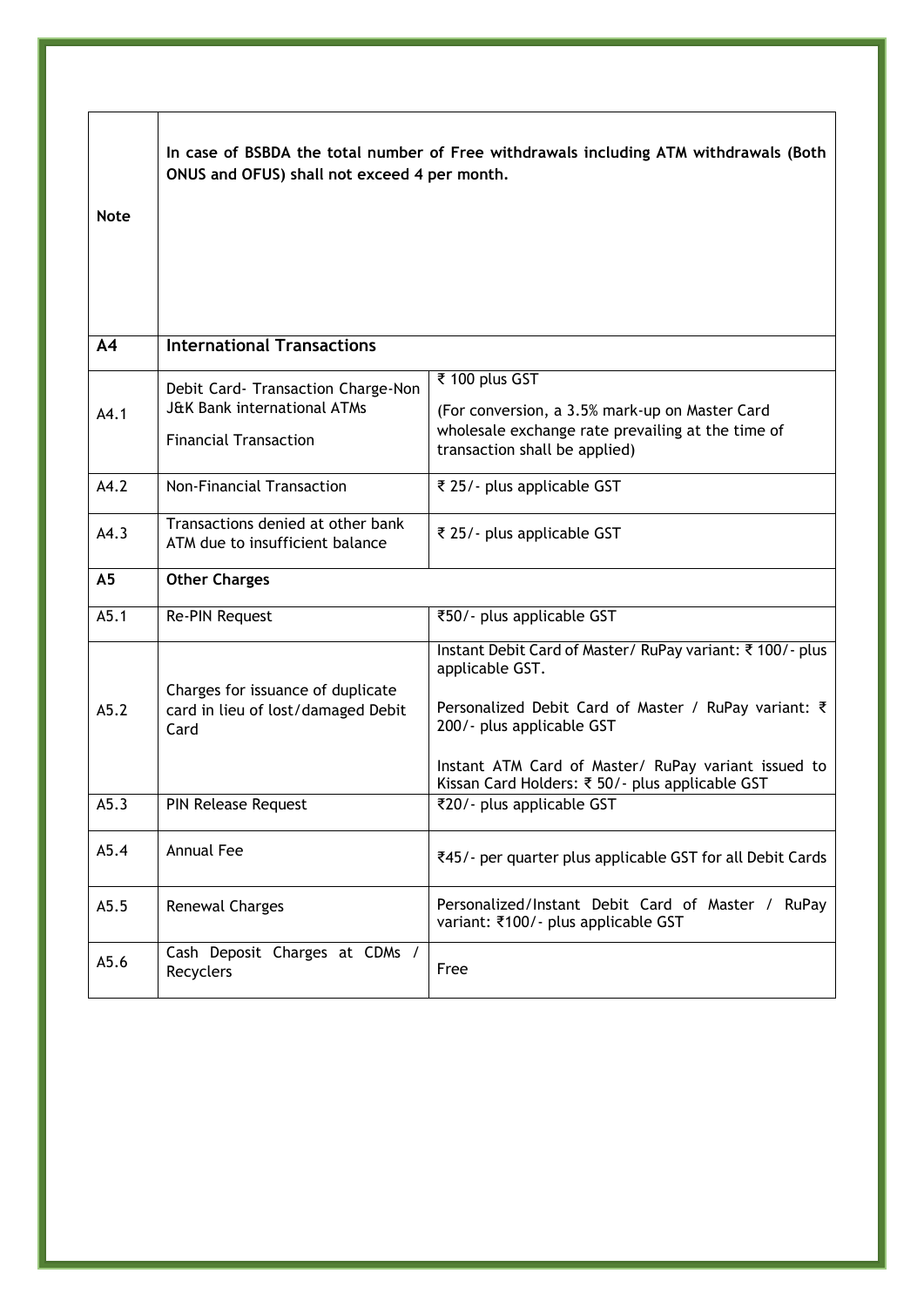|                | In case of BSBDA the total number of Free withdrawals including ATM withdrawals (Both<br>ONUS and OFUS) shall not exceed 4 per month. |                                                                                                                                                                  |  |
|----------------|---------------------------------------------------------------------------------------------------------------------------------------|------------------------------------------------------------------------------------------------------------------------------------------------------------------|--|
| <b>Note</b>    |                                                                                                                                       |                                                                                                                                                                  |  |
| A <sub>4</sub> | <b>International Transactions</b>                                                                                                     |                                                                                                                                                                  |  |
|                | Debit Card- Transaction Charge-Non                                                                                                    | ₹ 100 plus GST                                                                                                                                                   |  |
| A4.1           | <b>J&amp;K Bank international ATMs</b><br><b>Financial Transaction</b>                                                                | (For conversion, a 3.5% mark-up on Master Card<br>wholesale exchange rate prevailing at the time of<br>transaction shall be applied)                             |  |
| A4.2           | Non-Financial Transaction                                                                                                             | ₹ 25/ - plus applicable GST                                                                                                                                      |  |
| A4.3           | Transactions denied at other bank<br>ATM due to insufficient balance                                                                  | ₹ 25/- plus applicable GST                                                                                                                                       |  |
| A <sub>5</sub> | <b>Other Charges</b>                                                                                                                  |                                                                                                                                                                  |  |
| A5.1           | Re-PIN Request                                                                                                                        | ₹50/- plus applicable GST                                                                                                                                        |  |
| A5.2           | Charges for issuance of duplicate<br>card in lieu of lost/damaged Debit<br>Card                                                       | Instant Debit Card of Master/ RuPay variant: ₹100/- plus<br>applicable GST.<br>Personalized Debit Card of Master / RuPay variant: ₹<br>200/- plus applicable GST |  |
|                |                                                                                                                                       | Instant ATM Card of Master/ RuPay variant issued to<br>Kissan Card Holders: ₹ 50/- plus applicable GST                                                           |  |
| A5.3           | <b>PIN Release Request</b>                                                                                                            | ₹20/ - plus applicable GST                                                                                                                                       |  |
| A5.4           | Annual Fee                                                                                                                            | ₹45/- per quarter plus applicable GST for all Debit Cards                                                                                                        |  |
| A5.5           | <b>Renewal Charges</b>                                                                                                                | Personalized/Instant Debit Card of Master / RuPay<br>variant: ₹100/- plus applicable GST                                                                         |  |
| A5.6           | Cash Deposit Charges at CDMs /<br>Recyclers                                                                                           | Free                                                                                                                                                             |  |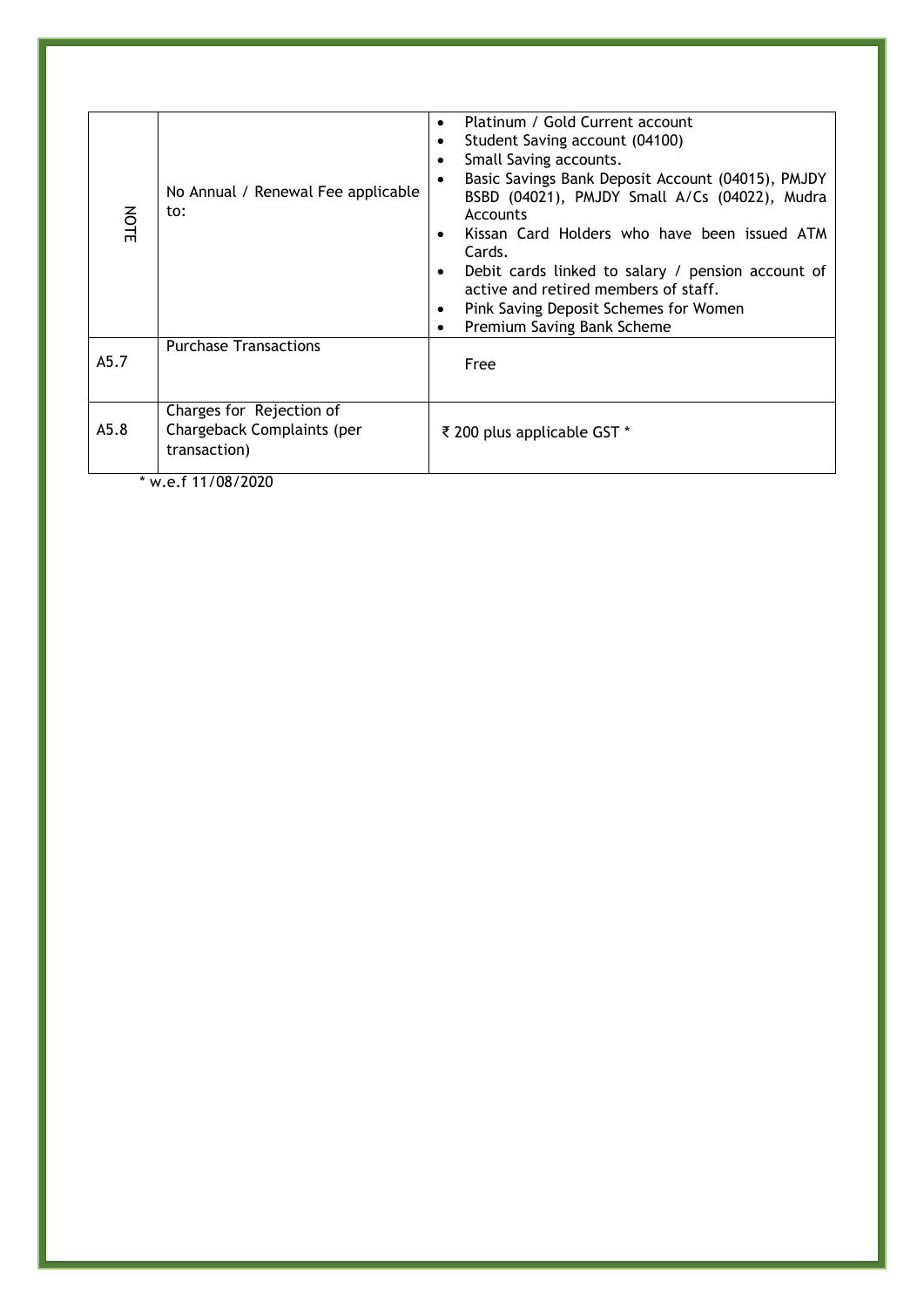| NOTE | No Annual / Renewal Fee applicable<br>to:                              | Platinum / Gold Current account<br>$\bullet$<br>Student Saving account (04100)<br>٠<br>Small Saving accounts.<br>$\bullet$<br>Basic Savings Bank Deposit Account (04015), PMJDY<br>BSBD (04021), PMJDY Small A/Cs (04022), Mudra<br>Accounts<br>Kissan Card Holders who have been issued ATM<br>Cards.<br>Debit cards linked to salary / pension account of<br>active and retired members of staff.<br>Pink Saving Deposit Schemes for Women<br>٠<br>Premium Saving Bank Scheme<br>٠ |  |
|------|------------------------------------------------------------------------|--------------------------------------------------------------------------------------------------------------------------------------------------------------------------------------------------------------------------------------------------------------------------------------------------------------------------------------------------------------------------------------------------------------------------------------------------------------------------------------|--|
| A5.7 | <b>Purchase Transactions</b>                                           | Free                                                                                                                                                                                                                                                                                                                                                                                                                                                                                 |  |
| A5.8 | Charges for Rejection of<br>Chargeback Complaints (per<br>transaction) | ₹ 200 plus applicable GST *                                                                                                                                                                                                                                                                                                                                                                                                                                                          |  |

\* w.e.f 11/08/2020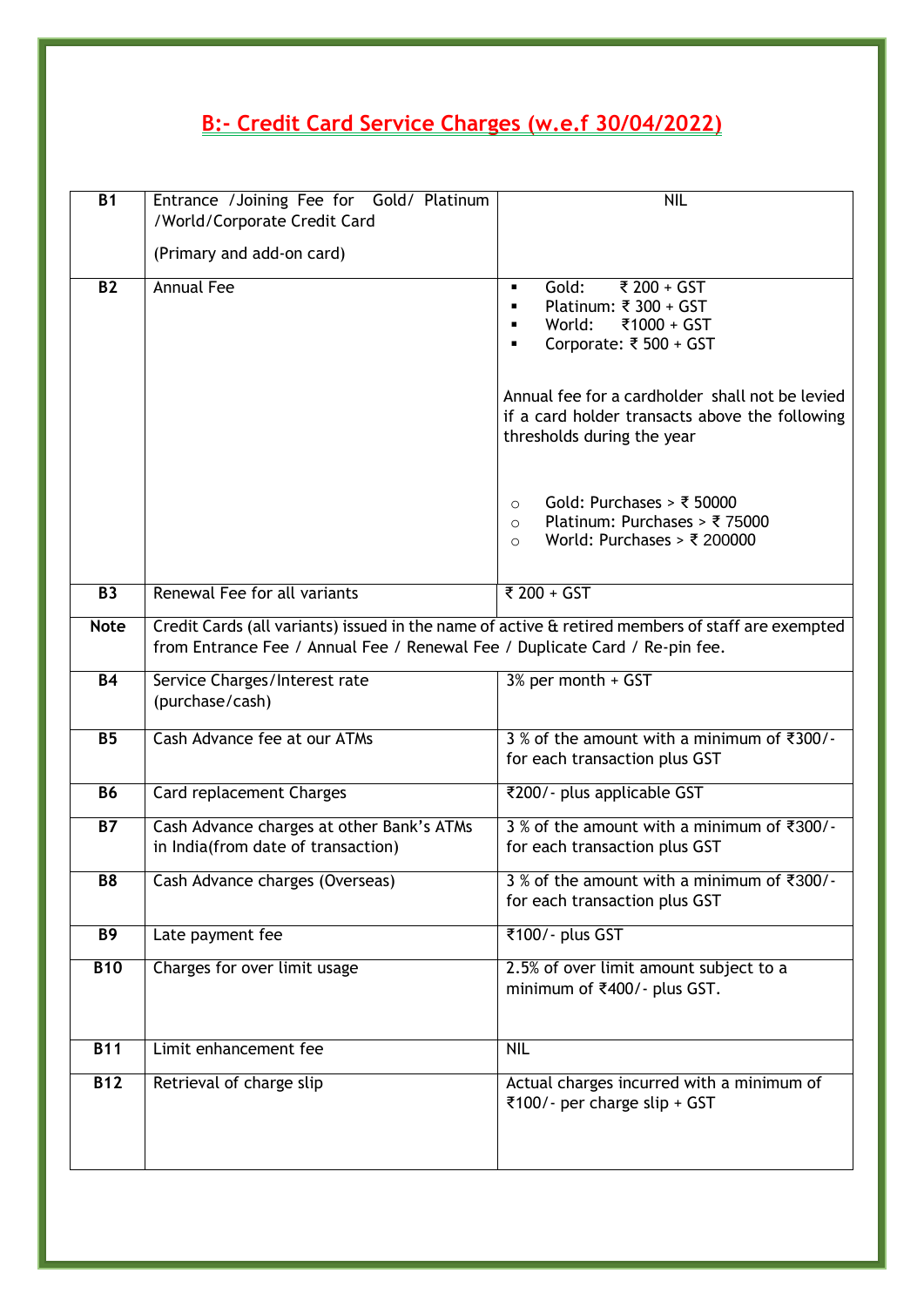# <span id="page-4-0"></span>**B:- Credit Card Service Charges (w.e.f 30/04/2022)**

| $\overline{B1}$  | Entrance / Joining Fee for Gold/ Platinum<br>/World/Corporate Credit Card                                                                                                       | <b>NIL</b>                                                                                                                      |  |
|------------------|---------------------------------------------------------------------------------------------------------------------------------------------------------------------------------|---------------------------------------------------------------------------------------------------------------------------------|--|
|                  | (Primary and add-on card)                                                                                                                                                       |                                                                                                                                 |  |
| <b>B2</b>        | <b>Annual Fee</b>                                                                                                                                                               | ₹ 200 + GST<br>Gold:<br>٠<br>Platinum: ₹ 300 + GST<br>₹1000 + GST<br>World:<br>٠<br>Corporate: ₹ 500 + GST<br>٠                 |  |
|                  |                                                                                                                                                                                 | Annual fee for a cardholder shall not be levied<br>if a card holder transacts above the following<br>thresholds during the year |  |
|                  |                                                                                                                                                                                 | Gold: Purchases > ₹ 50000<br>$\Omega$<br>Platinum: Purchases > ₹75000<br>$\circ$<br>World: Purchases > ₹ 200000<br>$\circ$      |  |
| <b>B3</b>        | Renewal Fee for all variants                                                                                                                                                    | ₹ 200 + GST                                                                                                                     |  |
| <b>Note</b>      | Credit Cards (all variants) issued in the name of active & retired members of staff are exempted<br>from Entrance Fee / Annual Fee / Renewal Fee / Duplicate Card / Re-pin fee. |                                                                                                                                 |  |
| <b>B4</b>        | Service Charges/Interest rate<br>(purchase/cash)                                                                                                                                | 3% per month + GST                                                                                                              |  |
| <b>B5</b>        | Cash Advance fee at our ATMs                                                                                                                                                    | $3%$ of the amount with a minimum of ₹300/-<br>for each transaction plus GST                                                    |  |
| <b>B6</b>        | Card replacement Charges                                                                                                                                                        | ₹200/- plus applicable GST                                                                                                      |  |
| $\overline{B7}$  | Cash Advance charges at other Bank's ATMs<br>in India(from date of transaction)                                                                                                 | $3\%$ of the amount with a minimum of $\overline{300}/\overline{ }$<br>for each transaction plus GST                            |  |
| B <sub>8</sub>   | Cash Advance charges (Overseas)                                                                                                                                                 | 3 % of the amount with a minimum of ₹300/-<br>for each transaction plus GST                                                     |  |
| <b>B9</b>        | Late payment fee                                                                                                                                                                | ₹100/- plus GST                                                                                                                 |  |
| <b>B10</b>       | Charges for over limit usage                                                                                                                                                    | 2.5% of over limit amount subject to a<br>minimum of ₹400/- plus GST.                                                           |  |
| $\overline{B11}$ | Limit enhancement fee                                                                                                                                                           | <b>NIL</b>                                                                                                                      |  |
| $\overline{B12}$ | Retrieval of charge slip                                                                                                                                                        | Actual charges incurred with a minimum of<br>₹100/- per charge slip + GST                                                       |  |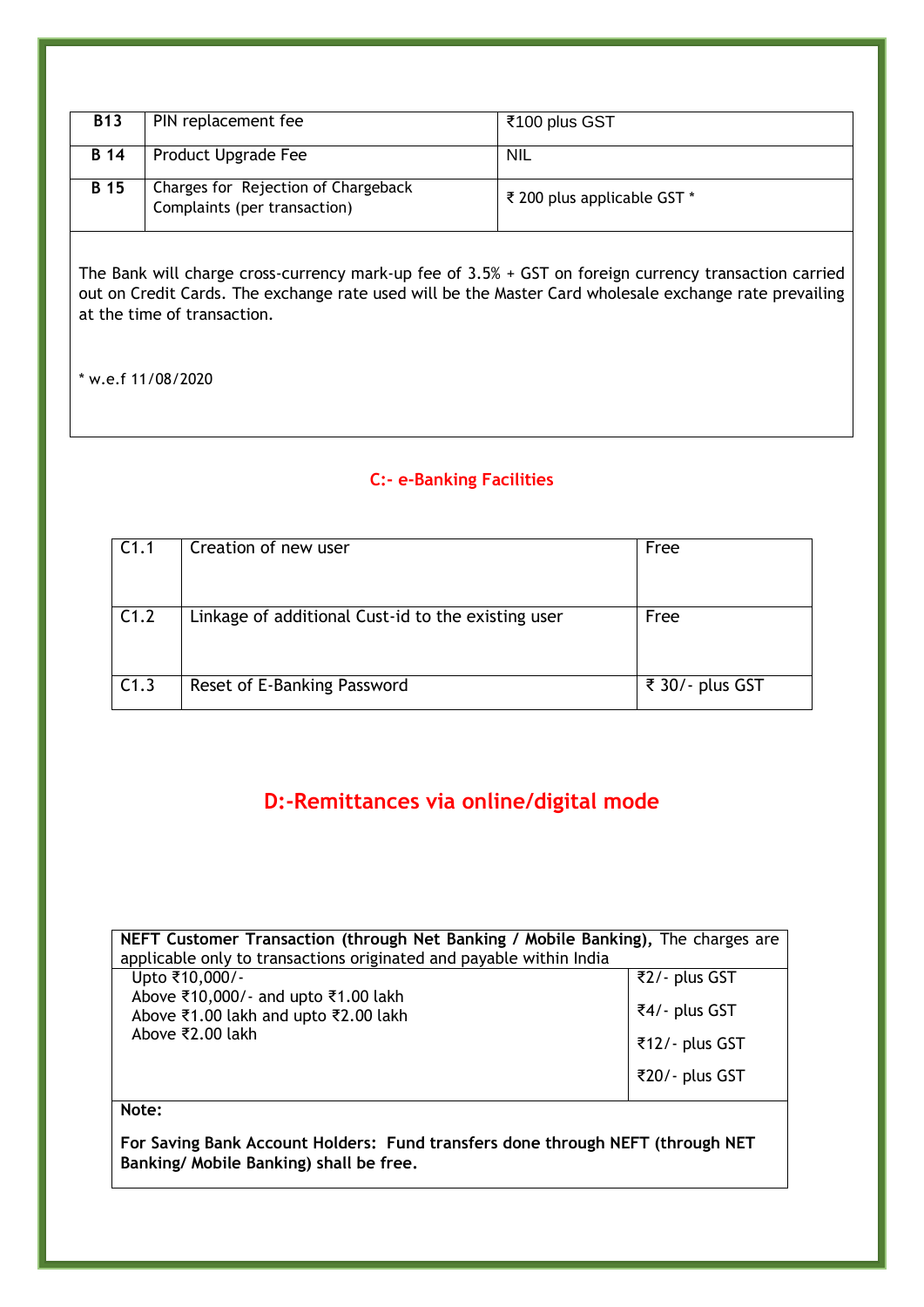| <b>B13</b>  | PIN replacement fee                                                 | ₹100 plus GST               |
|-------------|---------------------------------------------------------------------|-----------------------------|
| <b>B</b> 14 | Product Upgrade Fee                                                 | <b>NIL</b>                  |
| <b>B</b> 15 | Charges for Rejection of Chargeback<br>Complaints (per transaction) | ₹ 200 plus applicable GST * |

The Bank will charge cross-currency mark-up fee of 3.5% + GST on foreign currency transaction carried out on Credit Cards. The exchange rate used will be the Master Card wholesale exchange rate prevailing at the time of transaction.

\* w.e.f 11/08/2020

## <span id="page-5-0"></span>**C:- e-Banking Facilities**

| C <sub>1.1</sub> | Creation of new user                               | Free            |
|------------------|----------------------------------------------------|-----------------|
| C1.2             | Linkage of additional Cust-id to the existing user | Free            |
| C1.3             | Reset of E-Banking Password                        | ₹ 30/- plus GST |

## **D:-Remittances via online/digital mode**

<span id="page-5-1"></span>

| NEFT Customer Transaction (through Net Banking / Mobile Banking), The charges are |                |  |
|-----------------------------------------------------------------------------------|----------------|--|
| applicable only to transactions originated and payable within India               |                |  |
| Upto ₹10,000/-                                                                    | ₹2/- plus GST  |  |
| Above ₹10,000/- and upto ₹1.00 lakh                                               |                |  |
| Above ₹1.00 lakh and upto ₹2.00 lakh                                              | ₹4/- plus GST  |  |
| Above ₹2.00 lakh                                                                  | ₹12/- plus GST |  |
|                                                                                   |                |  |
|                                                                                   | ₹20/- plus GST |  |
|                                                                                   |                |  |

**Note:** 

**For Saving Bank Account Holders: Fund transfers done through NEFT (through NET Banking/ Mobile Banking) shall be free.**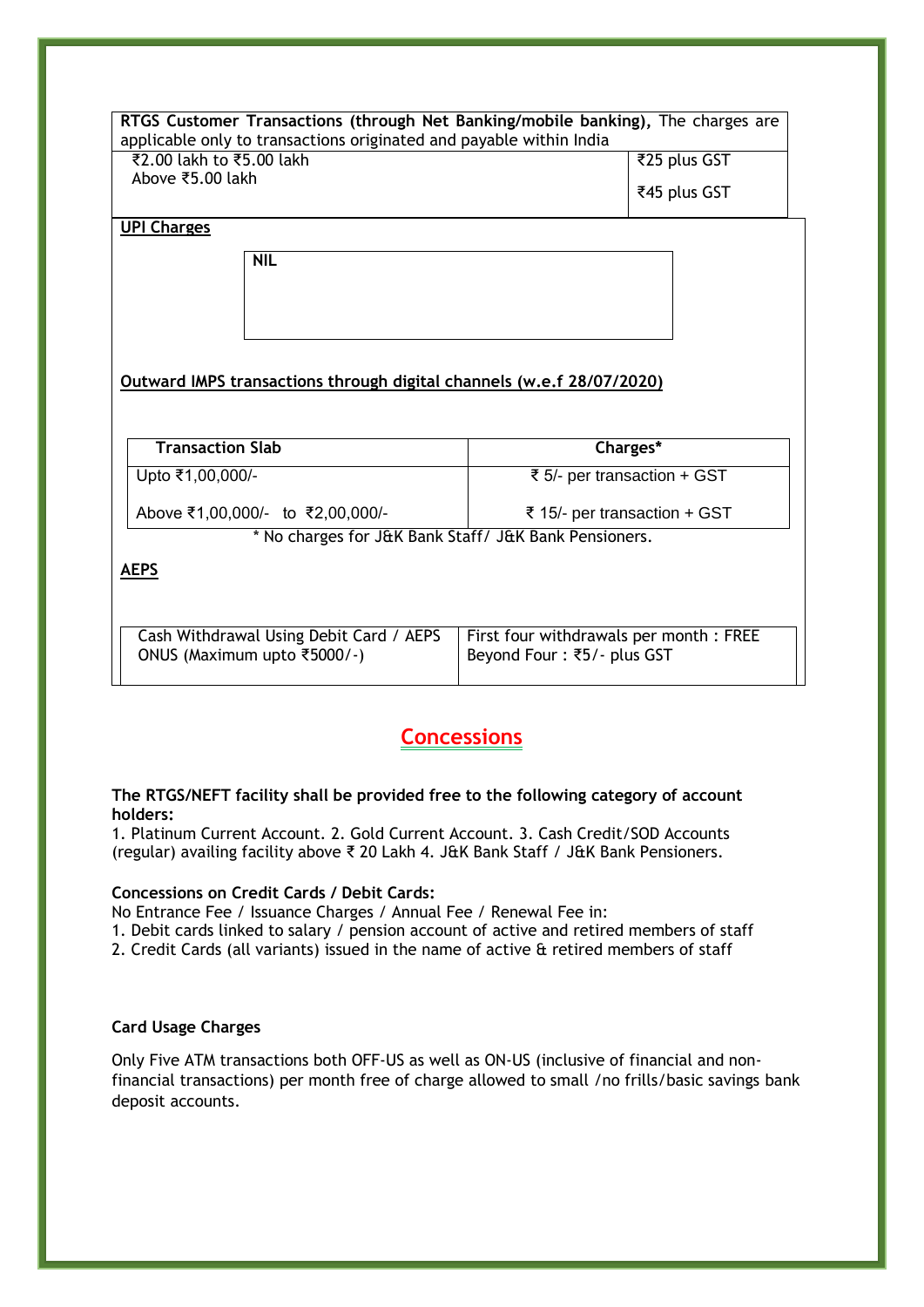| RTGS Customer Transactions (through Net Banking/mobile banking), The charges are |                                        |              |  |
|----------------------------------------------------------------------------------|----------------------------------------|--------------|--|
| applicable only to transactions originated and payable within India              |                                        |              |  |
| ₹2.00 lakh to ₹5.00 lakh<br>₹25 plus GST                                         |                                        |              |  |
| Above ₹5.00 lakh                                                                 |                                        | ₹45 plus GST |  |
|                                                                                  |                                        |              |  |
| <b>UPI Charges</b>                                                               |                                        |              |  |
| <b>NIL</b>                                                                       |                                        |              |  |
|                                                                                  |                                        |              |  |
|                                                                                  |                                        |              |  |
|                                                                                  |                                        |              |  |
|                                                                                  |                                        |              |  |
| Outward IMPS transactions through digital channels (w.e.f 28/07/2020)            |                                        |              |  |
|                                                                                  |                                        |              |  |
|                                                                                  |                                        |              |  |
| <b>Transaction Slab</b>                                                          | Charges*                               |              |  |
| Upto ₹1,00,000/-                                                                 | ₹ 5/- per transaction + GST            |              |  |
|                                                                                  |                                        |              |  |
| Above ₹1,00,000/- to ₹2,00,000/-                                                 | ₹ 15/- per transaction + GST           |              |  |
| * No charges for J&K Bank Staff/ J&K Bank Pensioners.                            |                                        |              |  |
| <b>AEPS</b>                                                                      |                                        |              |  |
|                                                                                  |                                        |              |  |
|                                                                                  |                                        |              |  |
| Cash Withdrawal Using Debit Card / AEPS                                          | First four withdrawals per month: FREE |              |  |
| ONUS (Maximum upto ₹5000/-)                                                      | Beyond Four: ₹5/- plus GST             |              |  |
|                                                                                  |                                        |              |  |

## **Concessions**

### <span id="page-6-0"></span>**The RTGS/NEFT facility shall be provided free to the following category of account holders:**

1. Platinum Current Account. 2. Gold Current Account. 3. Cash Credit/SOD Accounts (regular) availing facility above ₹ 20 Lakh 4. J&K Bank Staff / J&K Bank Pensioners.

#### **Concessions on Credit Cards / Debit Cards:**

No Entrance Fee / Issuance Charges / Annual Fee / Renewal Fee in:

- 1. Debit cards linked to salary / pension account of active and retired members of staff
- 2. Credit Cards (all variants) issued in the name of active & retired members of staff

### **Card Usage Charges**

Only Five ATM transactions both OFF-US as well as ON-US (inclusive of financial and nonfinancial transactions) per month free of charge allowed to small /no frills/basic savings bank deposit accounts.